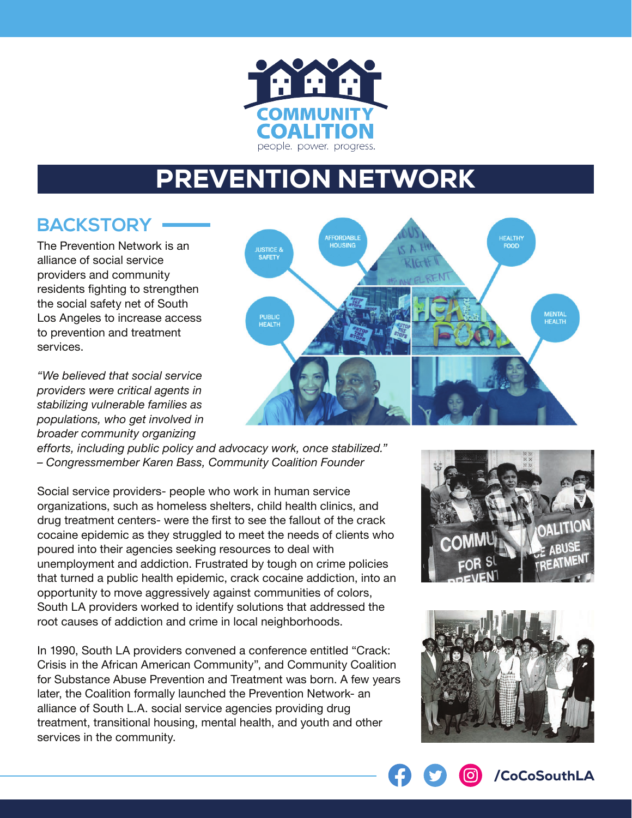

## PREVENTION NETWORK

## **BACKSTORY**

The Prevention Network is an alliance of social service providers and community residents fighting to strengthen the social safety net of South Los Angeles to increase access to prevention and treatment services.

*"We believed that social service providers were critical agents in stabilizing vulnerable families as populations, who get involved in broader community organizing* 



*efforts, including public policy and advocacy work, once stabilized." – Congressmember Karen Bass, Community Coalition Founder*

Social service providers- people who work in human service organizations, such as homeless shelters, child health clinics, and drug treatment centers- were the first to see the fallout of the crack cocaine epidemic as they struggled to meet the needs of clients who poured into their agencies seeking resources to deal with unemployment and addiction. Frustrated by tough on crime policies that turned a public health epidemic, crack cocaine addiction, into an opportunity to move aggressively against communities of colors, South LA providers worked to identify solutions that addressed the root causes of addiction and crime in local neighborhoods.

In 1990, South LA providers convened a conference entitled "Crack: Crisis in the African American Community", and Community Coalition for Substance Abuse Prevention and Treatment was born. A few years later, the Coalition formally launched the Prevention Network- an alliance of South L.A. social service agencies providing drug treatment, transitional housing, mental health, and youth and other services in the community.





/CoCoSouthLA